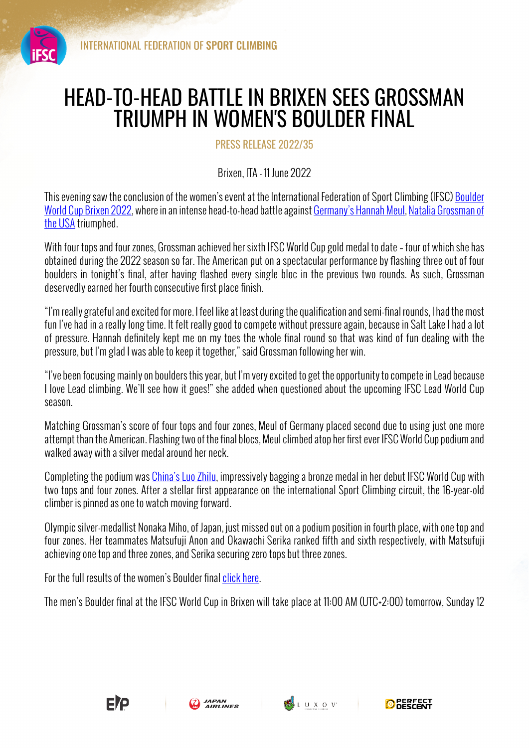

## HEAD-TO-HEAD BATTLE IN BRIXEN SEES GROSSMAN TRIUMPH IN WOMEN'S BOULDER FINAL

PRESS RELEASE 2022/35

Brixen, ITA - 11 June 2022

This evening saw the conclusion of the women's event at the International Federation of Sport Climbing (IFSC) Boulder World Cup Brixen 2022, where in an intense head-to-head battle against Germany's Hannah Meul, Natalia Grossman of the USA triumphed.

With four tops and four zones, Grossman achieved her sixth IFSC World Cup gold medal to date – four of which she has obtained during the 2022 season so far. The American put on a spectacular performance by flashing three out of four boulders in tonight's final, after having flashed every single bloc in the previous two rounds. As such, Grossman deservedly earned her fourth consecutive first place finish.

"I'm really grateful and excited for more. I feel like at least during the qualification and semi-final rounds, I had the most fun I've had in a really long time. It felt really good to compete without pressure again, because in Salt Lake I had a lot of pressure. Hannah definitely kept me on my toes the whole final round so that was kind of fun dealing with the pressure, but I'm glad I was able to keep it together," said Grossman following her win.

"I've been focusing mainly on boulders this year, but I'm very excited to get the opportunity to compete in Lead because I love Lead climbing. We'll see how it goes!" she added when questioned about the upcoming IFSC Lead World Cup season.

Matching Grossman's score of four tops and four zones, Meul of Germany placed second due to using just one more attempt than the American. Flashing two of the final blocs, Meul climbed atop her first ever IFSC World Cup podium and walked away with a silver medal around her neck.

Completing the podium was China's Luo Zhilu, impressively bagging a bronze medal in her debut IFSC World Cup with two tops and four zones. After a stellar first appearance on the international Sport Climbing circuit, the 16-year-old climber is pinned as one to watch moving forward.

Olympic silver-medallist Nonaka Miho, of Japan, just missed out on a podium position in fourth place, with one top and four zones. Her teammates Matsufuji Anon and Okawachi Serika ranked fifth and sixth respectively, with Matsufuji achieving one top and three zones, and Serika securing zero tops but three zones.

For the full results of the women's Boulder final click here.

The men's Boulder final at the IFSC World Cup in Brixen will take place at 11:00 AM (UTC+2:00) tomorrow, Sunday 12